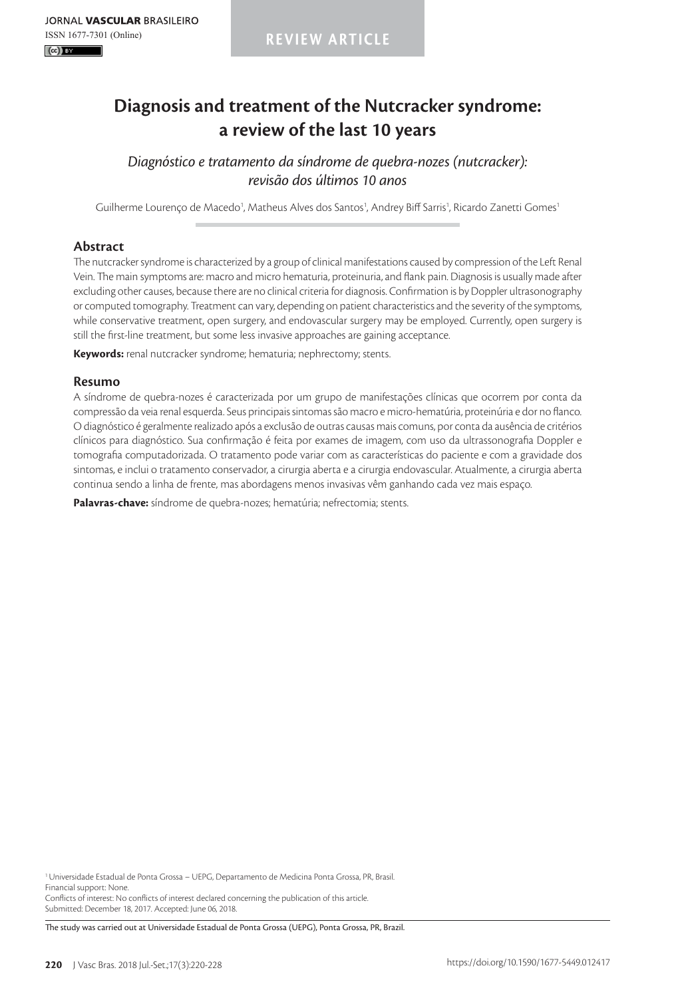**REVIEW ARTICLE**

# **Diagnosis and treatment of the Nutcracker syndrome: a review of the last 10 years**

*Diagnóstico e tratamento da síndrome de quebra-nozes (nutcracker): revisão dos últimos 10 anos*

Guilherme Lourenço de Macedo<sup>1</sup>, Matheus Alves dos Santos<sup>1</sup>, Andrey Biff Sarris<sup>1</sup>, Ricardo Zanetti Gomes<sup>1</sup>

# **Abstract**

The nutcracker syndrome is characterized by a group of clinical manifestations caused by compression of the Left Renal Vein. The main symptoms are: macro and micro hematuria, proteinuria, and flank pain. Diagnosis is usually made after excluding other causes, because there are no clinical criteria for diagnosis. Confirmation is by Doppler ultrasonography or computed tomography. Treatment can vary, depending on patient characteristics and the severity of the symptoms, while conservative treatment, open surgery, and endovascular surgery may be employed. Currently, open surgery is still the first-line treatment, but some less invasive approaches are gaining acceptance.

**Keywords:** renal nutcracker syndrome; hematuria; nephrectomy; stents.

#### **Resumo**

A síndrome de quebra-nozes é caracterizada por um grupo de manifestações clínicas que ocorrem por conta da compressão da veia renal esquerda. Seus principais sintomas são macro e micro-hematúria, proteinúria e dor no flanco. O diagnóstico é geralmente realizado após a exclusão de outras causas mais comuns, por conta da ausência de critérios clínicos para diagnóstico. Sua confirmação é feita por exames de imagem, com uso da ultrassonografia Doppler e tomografia computadorizada. O tratamento pode variar com as características do paciente e com a gravidade dos sintomas, e inclui o tratamento conservador, a cirurgia aberta e a cirurgia endovascular. Atualmente, a cirurgia aberta continua sendo a linha de frente, mas abordagens menos invasivas vêm ganhando cada vez mais espaço.

**Palavras-chave:** síndrome de quebra-nozes; hematúria; nefrectomia; stents.

<sup>1</sup> Universidade Estadual de Ponta Grossa – UEPG, Departamento de Medicina Ponta Grossa, PR, Brasil. Financial support: None.

Conflicts of interest: No conflicts of interest declared concerning the publication of this article. Submitted: December 18, 2017. Accepted: June 06, 2018.

The study was carried out at Universidade Estadual de Ponta Grossa (UEPG), Ponta Grossa, PR, Brazil.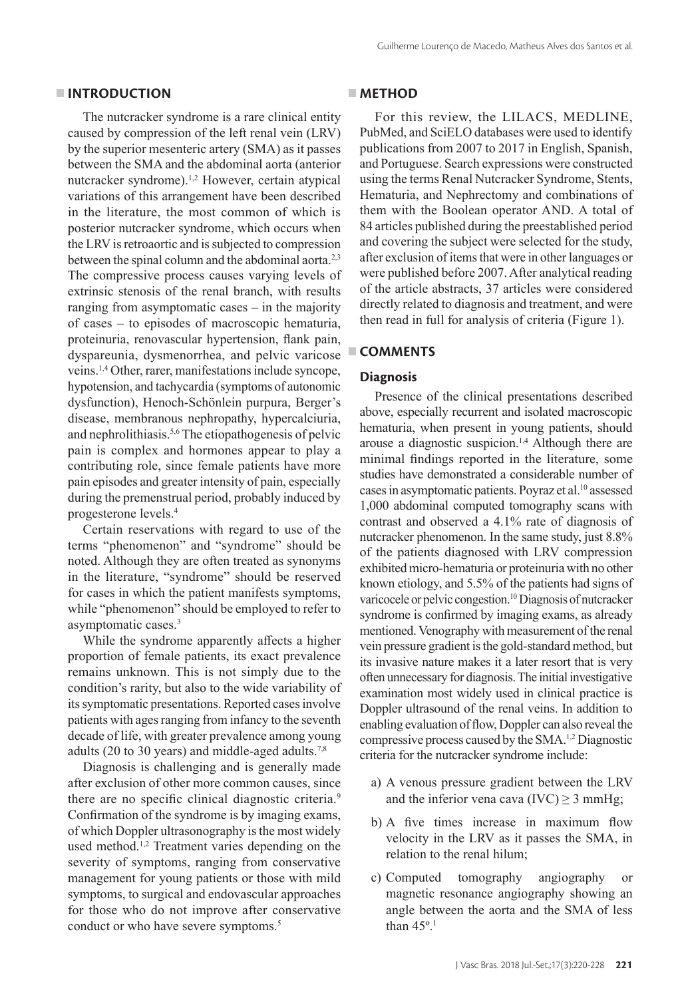#### **INTRODUCTION**

The nutcracker syndrome is a rare clinical entity caused by compression of the left renal vein (LRV) by the superior mesenteric artery (SMA) as it passes between the SMA and the abdominal aorta (anterior nutcracker syndrome).<sup>1,2</sup> However, certain atypical variations of this arrangement have been described in the literature, the most common of which is posterior nutcracker syndrome, which occurs when the LRV is retroaortic and is subjected to compression between the spinal column and the abdominal aorta.<sup>2,3</sup> The compressive process causes varying levels of extrinsic stenosis of the renal branch, with results ranging from asymptomatic cases – in the majority of cases – to episodes of macroscopic hematuria, proteinuria, renovascular hypertension, flank pain, dyspareunia, dysmenorrhea, and pelvic varicose veins.1,4 Other, rarer, manifestations include syncope, hypotension, and tachycardia (symptoms of autonomic dysfunction), Henoch-Schönlein purpura, Berger's disease, membranous nephropathy, hypercalciuria, and nephrolithiasis.5,6 The etiopathogenesis of pelvic pain is complex and hormones appear to play a contributing role, since female patients have more pain episodes and greater intensity of pain, especially during the premenstrual period, probably induced by progesterone levels.4

Certain reservations with regard to use of the terms "phenomenon" and "syndrome" should be noted. Although they are often treated as synonyms in the literature, "syndrome" should be reserved for cases in which the patient manifests symptoms, while "phenomenon" should be employed to refer to asymptomatic cases.3

While the syndrome apparently affects a higher proportion of female patients, its exact prevalence remains unknown. This is not simply due to the condition's rarity, but also to the wide variability of its symptomatic presentations. Reported cases involve patients with ages ranging from infancy to the seventh decade of life, with greater prevalence among young adults (20 to 30 years) and middle-aged adults.<sup>7,8</sup>

Diagnosis is challenging and is generally made after exclusion of other more common causes, since there are no specific clinical diagnostic criteria.<sup>9</sup> Confirmation of the syndrome is by imaging exams, of which Doppler ultrasonography is the most widely used method.<sup>1,2</sup> Treatment varies depending on the severity of symptoms, ranging from conservative management for young patients or those with mild symptoms, to surgical and endovascular approaches for those who do not improve after conservative conduct or who have severe symptoms.<sup>5</sup>

#### **METHOD**

For this review, the LILACS, MEDLINE, PubMed, and SciELO databases were used to identify publications from 2007 to 2017 in English, Spanish, and Portuguese. Search expressions were constructed using the terms Renal Nutcracker Syndrome, Stents, Hematuria, and Nephrectomy and combinations of them with the Boolean operator AND. A total of 84 articles published during the preestablished period and covering the subject were selected for the study, after exclusion of items that were in other languages or were published before 2007. After analytical reading of the article abstracts, 37 articles were considered directly related to diagnosis and treatment, and were then read in full for analysis of criteria (Figure 1).

### **COMMENTS**

## **Diagnosis**

Presence of the clinical presentations described above, especially recurrent and isolated macroscopic hematuria, when present in young patients, should arouse a diagnostic suspicion.1,4 Although there are minimal findings reported in the literature, some studies have demonstrated a considerable number of cases in asymptomatic patients. Poyraz et al.10 assessed 1,000 abdominal computed tomography scans with contrast and observed a 4.1% rate of diagnosis of nutcracker phenomenon. In the same study, just 8.8% of the patients diagnosed with LRV compression exhibited micro-hematuria or proteinuria with no other known etiology, and 5.5% of the patients had signs of varicocele or pelvic congestion.<sup>10</sup> Diagnosis of nutcracker syndrome is confirmed by imaging exams, as already mentioned. Venography with measurement of the renal vein pressure gradient is the gold-standard method, but its invasive nature makes it a later resort that is very often unnecessary for diagnosis. The initial investigative examination most widely used in clinical practice is Doppler ultrasound of the renal veins. In addition to enabling evaluation of flow, Doppler can also reveal the compressive process caused by the SMA.1,2 Diagnostic criteria for the nutcracker syndrome include:

- a) A venous pressure gradient between the LRV and the inferior vena cava (IVC)  $\geq$  3 mmHg;
- b) A five times increase in maximum flow velocity in the LRV as it passes the SMA, in relation to the renal hilum;
- c) Computed tomography angiography or magnetic resonance angiography showing an angle between the aorta and the SMA of less than 45º.1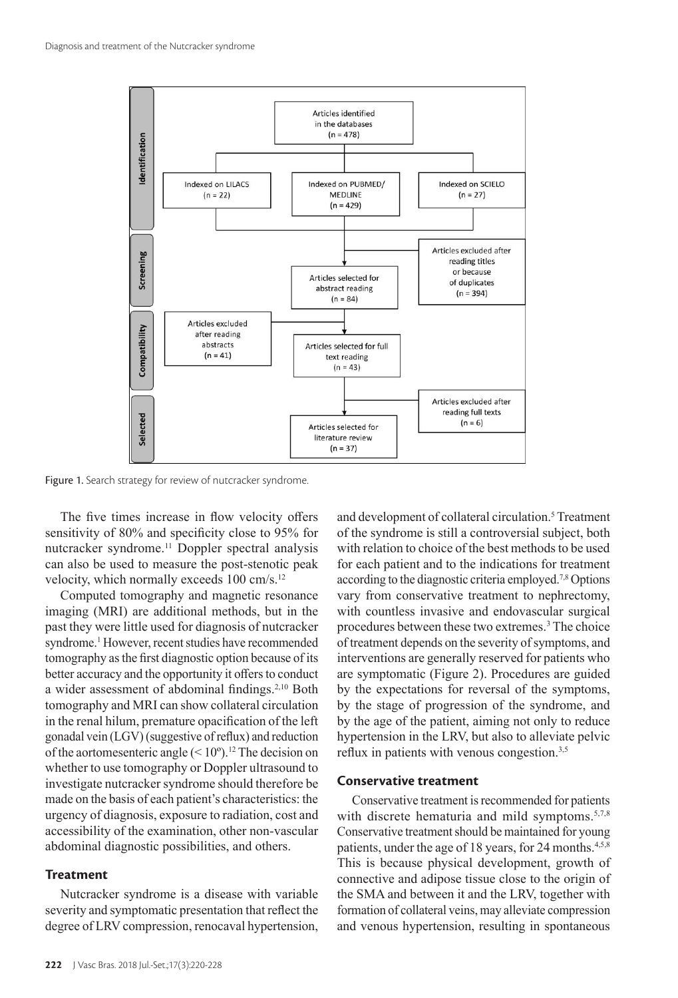

Figure 1. Search strategy for review of nutcracker syndrome.

The five times increase in flow velocity offers sensitivity of 80% and specificity close to 95% for nutcracker syndrome.11 Doppler spectral analysis can also be used to measure the post-stenotic peak velocity, which normally exceeds 100 cm/s.12

Computed tomography and magnetic resonance imaging (MRI) are additional methods, but in the past they were little used for diagnosis of nutcracker syndrome.<sup>1</sup> However, recent studies have recommended tomography as the first diagnostic option because of its better accuracy and the opportunity it offers to conduct a wider assessment of abdominal findings.2,10 Both tomography and MRI can show collateral circulation in the renal hilum, premature opacification of the left gonadal vein (LGV) (suggestive of reflux) and reduction of the aortomesenteric angle  $(< 10°)$ .<sup>12</sup> The decision on whether to use tomography or Doppler ultrasound to investigate nutcracker syndrome should therefore be made on the basis of each patient's characteristics: the urgency of diagnosis, exposure to radiation, cost and accessibility of the examination, other non-vascular abdominal diagnostic possibilities, and others.

#### **Treatment**

Nutcracker syndrome is a disease with variable severity and symptomatic presentation that reflect the degree of LRV compression, renocaval hypertension,

and development of collateral circulation.<sup>5</sup> Treatment of the syndrome is still a controversial subject, both with relation to choice of the best methods to be used for each patient and to the indications for treatment according to the diagnostic criteria employed.7,8 Options vary from conservative treatment to nephrectomy, with countless invasive and endovascular surgical procedures between these two extremes.3 The choice of treatment depends on the severity of symptoms, and interventions are generally reserved for patients who are symptomatic (Figure 2). Procedures are guided by the expectations for reversal of the symptoms, by the stage of progression of the syndrome, and by the age of the patient, aiming not only to reduce hypertension in the LRV, but also to alleviate pelvic reflux in patients with venous congestion.<sup>3,5</sup>

# **Conservative treatment**

Conservative treatment is recommended for patients with discrete hematuria and mild symptoms.<sup>5,7,8</sup> Conservative treatment should be maintained for young patients, under the age of 18 years, for 24 months.<sup>4,5,8</sup> This is because physical development, growth of connective and adipose tissue close to the origin of the SMA and between it and the LRV, together with formation of collateral veins, may alleviate compression and venous hypertension, resulting in spontaneous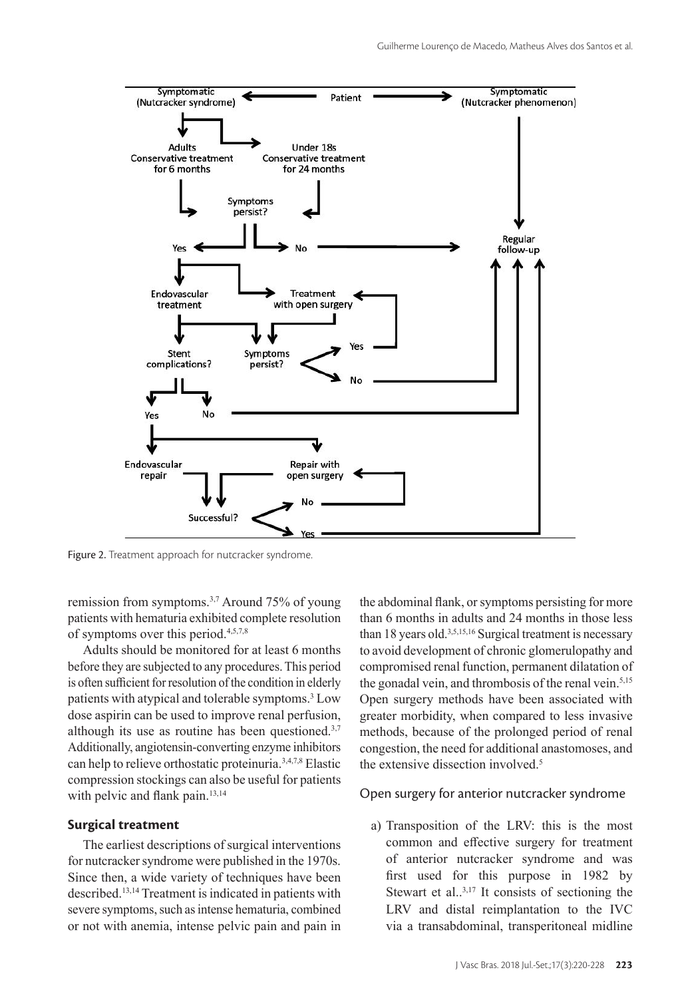

Figure 2. Treatment approach for nutcracker syndrome.

remission from symptoms.3,7 Around 75% of young patients with hematuria exhibited complete resolution of symptoms over this period.4,5,7,8

Adults should be monitored for at least 6 months before they are subjected to any procedures. This period is often sufficient for resolution of the condition in elderly patients with atypical and tolerable symptoms.3 Low dose aspirin can be used to improve renal perfusion, although its use as routine has been questioned. $3,7$ Additionally, angiotensin-converting enzyme inhibitors can help to relieve orthostatic proteinuria.3,4,7,8 Elastic compression stockings can also be useful for patients with pelvic and flank pain.<sup>13,14</sup>

#### **Surgical treatment**

The earliest descriptions of surgical interventions for nutcracker syndrome were published in the 1970s. Since then, a wide variety of techniques have been described.13,14 Treatment is indicated in patients with severe symptoms, such as intense hematuria, combined or not with anemia, intense pelvic pain and pain in the abdominal flank, or symptoms persisting for more than 6 months in adults and 24 months in those less than 18 years old.3,5,15,16 Surgical treatment is necessary to avoid development of chronic glomerulopathy and compromised renal function, permanent dilatation of the gonadal vein, and thrombosis of the renal vein.<sup>5,15</sup> Open surgery methods have been associated with greater morbidity, when compared to less invasive methods, because of the prolonged period of renal congestion, the need for additional anastomoses, and the extensive dissection involved.5

### Open surgery for anterior nutcracker syndrome

a) Transposition of the LRV: this is the most common and effective surgery for treatment of anterior nutcracker syndrome and was first used for this purpose in 1982 by Stewart et al.. $3,17$  It consists of sectioning the LRV and distal reimplantation to the IVC via a transabdominal, transperitoneal midline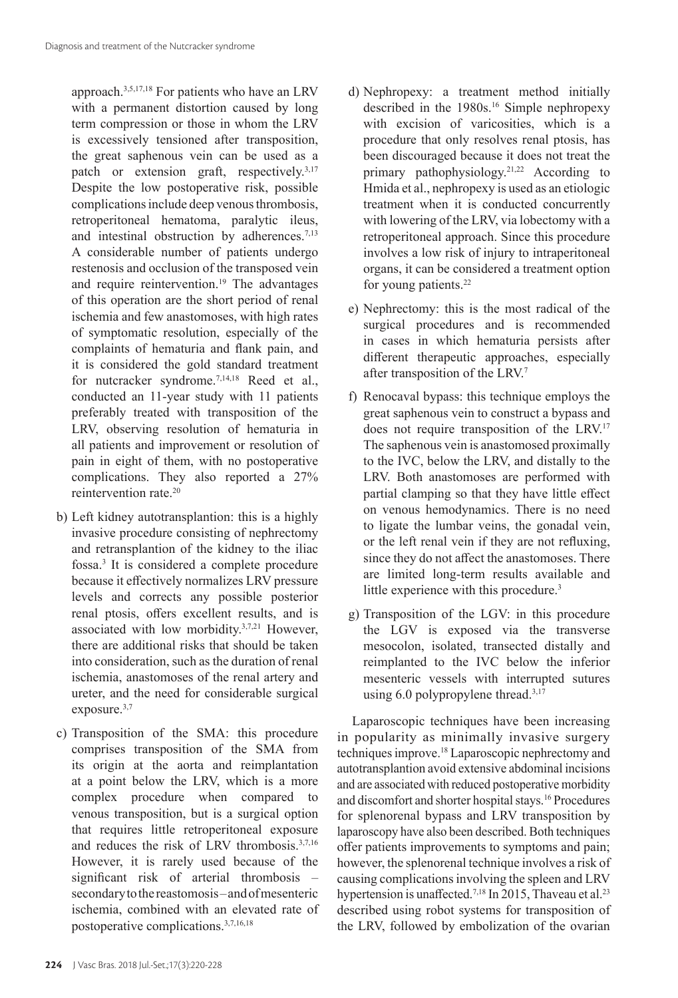approach.3,5,17,18 For patients who have an LRV with a permanent distortion caused by long term compression or those in whom the LRV is excessively tensioned after transposition, the great saphenous vein can be used as a patch or extension graft, respectively.3,17 Despite the low postoperative risk, possible complications include deep venous thrombosis, retroperitoneal hematoma, paralytic ileus, and intestinal obstruction by adherences.<sup>7,13</sup> A considerable number of patients undergo restenosis and occlusion of the transposed vein and require reintervention.<sup>19</sup> The advantages of this operation are the short period of renal ischemia and few anastomoses, with high rates of symptomatic resolution, especially of the complaints of hematuria and flank pain, and it is considered the gold standard treatment for nutcracker syndrome.<sup>7,14,18</sup> Reed et al., conducted an 11-year study with 11 patients preferably treated with transposition of the LRV, observing resolution of hematuria in all patients and improvement or resolution of pain in eight of them, with no postoperative complications. They also reported a 27% reintervention rate.20

- b) Left kidney autotransplantion: this is a highly invasive procedure consisting of nephrectomy and retransplantion of the kidney to the iliac fossa.3 It is considered a complete procedure because it effectively normalizes LRV pressure levels and corrects any possible posterior renal ptosis, offers excellent results, and is associated with low morbidity.3,7,21 However, there are additional risks that should be taken into consideration, such as the duration of renal ischemia, anastomoses of the renal artery and ureter, and the need for considerable surgical exposure.3,7
- c) Transposition of the SMA: this procedure comprises transposition of the SMA from its origin at the aorta and reimplantation at a point below the LRV, which is a more complex procedure when compared to venous transposition, but is a surgical option that requires little retroperitoneal exposure and reduces the risk of LRV thrombosis.3,7,16 However, it is rarely used because of the significant risk of arterial thrombosis – secondary to the reastomosis – and of mesenteric ischemia, combined with an elevated rate of postoperative complications.3,7,16,18
- d) Nephropexy: a treatment method initially described in the 1980s.16 Simple nephropexy with excision of varicosities, which is a procedure that only resolves renal ptosis, has been discouraged because it does not treat the primary pathophysiology.<sup>21,22</sup> According to Hmida et al., nephropexy is used as an etiologic treatment when it is conducted concurrently with lowering of the LRV, via lobectomy with a retroperitoneal approach. Since this procedure involves a low risk of injury to intraperitoneal organs, it can be considered a treatment option for young patients.<sup>22</sup>
- e) Nephrectomy: this is the most radical of the surgical procedures and is recommended in cases in which hematuria persists after different therapeutic approaches, especially after transposition of the LRV.7
- f) Renocaval bypass: this technique employs the great saphenous vein to construct a bypass and does not require transposition of the LRV.17 The saphenous vein is anastomosed proximally to the IVC, below the LRV, and distally to the LRV. Both anastomoses are performed with partial clamping so that they have little effect on venous hemodynamics. There is no need to ligate the lumbar veins, the gonadal vein, or the left renal vein if they are not refluxing, since they do not affect the anastomoses. There are limited long-term results available and little experience with this procedure.<sup>3</sup>
- g) Transposition of the LGV: in this procedure the LGV is exposed via the transverse mesocolon, isolated, transected distally and reimplanted to the IVC below the inferior mesenteric vessels with interrupted sutures using  $6.0$  polypropylene thread.<sup>3,17</sup>

Laparoscopic techniques have been increasing in popularity as minimally invasive surgery techniques improve.18 Laparoscopic nephrectomy and autotransplantion avoid extensive abdominal incisions and are associated with reduced postoperative morbidity and discomfort and shorter hospital stays.16 Procedures for splenorenal bypass and LRV transposition by laparoscopy have also been described. Both techniques offer patients improvements to symptoms and pain; however, the splenorenal technique involves a risk of causing complications involving the spleen and LRV hypertension is unaffected.<sup>7,18</sup> In 2015, Thaveau et al.<sup>23</sup> described using robot systems for transposition of the LRV, followed by embolization of the ovarian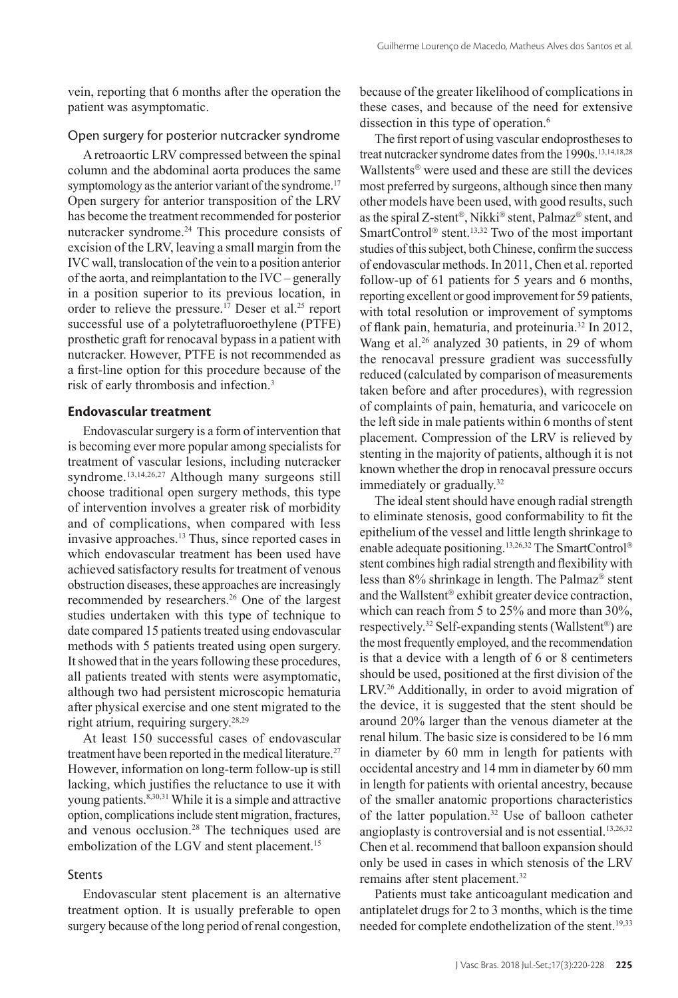vein, reporting that 6 months after the operation the patient was asymptomatic.

### Open surgery for posterior nutcracker syndrome

A retroaortic LRV compressed between the spinal column and the abdominal aorta produces the same symptomology as the anterior variant of the syndrome.<sup>17</sup> Open surgery for anterior transposition of the LRV has become the treatment recommended for posterior nutcracker syndrome.<sup>24</sup> This procedure consists of excision of the LRV, leaving a small margin from the IVC wall, translocation of the vein to a position anterior of the aorta, and reimplantation to the IVC – generally in a position superior to its previous location, in order to relieve the pressure.<sup>17</sup> Deser et al.<sup>25</sup> report successful use of a polytetrafluoroethylene (PTFE) prosthetic graft for renocaval bypass in a patient with nutcracker. However, PTFE is not recommended as a first-line option for this procedure because of the risk of early thrombosis and infection.<sup>3</sup>

#### **Endovascular treatment**

Endovascular surgery is a form of intervention that is becoming ever more popular among specialists for treatment of vascular lesions, including nutcracker syndrome.13,14,26,27 Although many surgeons still choose traditional open surgery methods, this type of intervention involves a greater risk of morbidity and of complications, when compared with less invasive approaches.13 Thus, since reported cases in which endovascular treatment has been used have achieved satisfactory results for treatment of venous obstruction diseases, these approaches are increasingly recommended by researchers.26 One of the largest studies undertaken with this type of technique to date compared 15 patients treated using endovascular methods with 5 patients treated using open surgery. It showed that in the years following these procedures, all patients treated with stents were asymptomatic, although two had persistent microscopic hematuria after physical exercise and one stent migrated to the right atrium, requiring surgery.28,29

At least 150 successful cases of endovascular treatment have been reported in the medical literature.<sup>27</sup> However, information on long-term follow-up is still lacking, which justifies the reluctance to use it with young patients.<sup>8,30,31</sup> While it is a simple and attractive option, complications include stent migration, fractures, and venous occlusion.<sup>28</sup> The techniques used are embolization of the LGV and stent placement.<sup>15</sup>

# Stents

Endovascular stent placement is an alternative treatment option. It is usually preferable to open surgery because of the long period of renal congestion,

because of the greater likelihood of complications in these cases, and because of the need for extensive dissection in this type of operation.<sup>6</sup>

The first report of using vascular endoprostheses to treat nutcracker syndrome dates from the 1990s.<sup>13,14,18,28</sup> Wallstents<sup>®</sup> were used and these are still the devices most preferred by surgeons, although since then many other models have been used, with good results, such as the spiral Z-stent®, Nikki® stent, Palmaz® stent, and SmartControl<sup>®</sup> stent.<sup>13,32</sup> Two of the most important studies of this subject, both Chinese, confirm the success of endovascular methods. In 2011, Chen et al. reported follow-up of 61 patients for 5 years and 6 months, reporting excellent or good improvement for 59 patients, with total resolution or improvement of symptoms of flank pain, hematuria, and proteinuria.32 In 2012, Wang et al.<sup>26</sup> analyzed 30 patients, in 29 of whom the renocaval pressure gradient was successfully reduced (calculated by comparison of measurements taken before and after procedures), with regression of complaints of pain, hematuria, and varicocele on the left side in male patients within 6 months of stent placement. Compression of the LRV is relieved by stenting in the majority of patients, although it is not known whether the drop in renocaval pressure occurs immediately or gradually.<sup>32</sup>

The ideal stent should have enough radial strength to eliminate stenosis, good conformability to fit the epithelium of the vessel and little length shrinkage to enable adequate positioning.<sup>13,26,32</sup> The SmartControl® stent combines high radial strength and flexibility with less than 8% shrinkage in length. The Palmaz<sup>®</sup> stent and the Wallstent® exhibit greater device contraction, which can reach from 5 to 25% and more than 30%, respectively.<sup>32</sup> Self-expanding stents (Wallstent®) are the most frequently employed, and the recommendation is that a device with a length of 6 or 8 centimeters should be used, positioned at the first division of the LRV.26 Additionally, in order to avoid migration of the device, it is suggested that the stent should be around 20% larger than the venous diameter at the renal hilum. The basic size is considered to be 16 mm in diameter by 60 mm in length for patients with occidental ancestry and 14 mm in diameter by 60 mm in length for patients with oriental ancestry, because of the smaller anatomic proportions characteristics of the latter population.32 Use of balloon catheter angioplasty is controversial and is not essential.<sup>13,26,32</sup> Chen et al. recommend that balloon expansion should only be used in cases in which stenosis of the LRV remains after stent placement.32

Patients must take anticoagulant medication and antiplatelet drugs for 2 to 3 months, which is the time needed for complete endothelization of the stent.<sup>19,33</sup>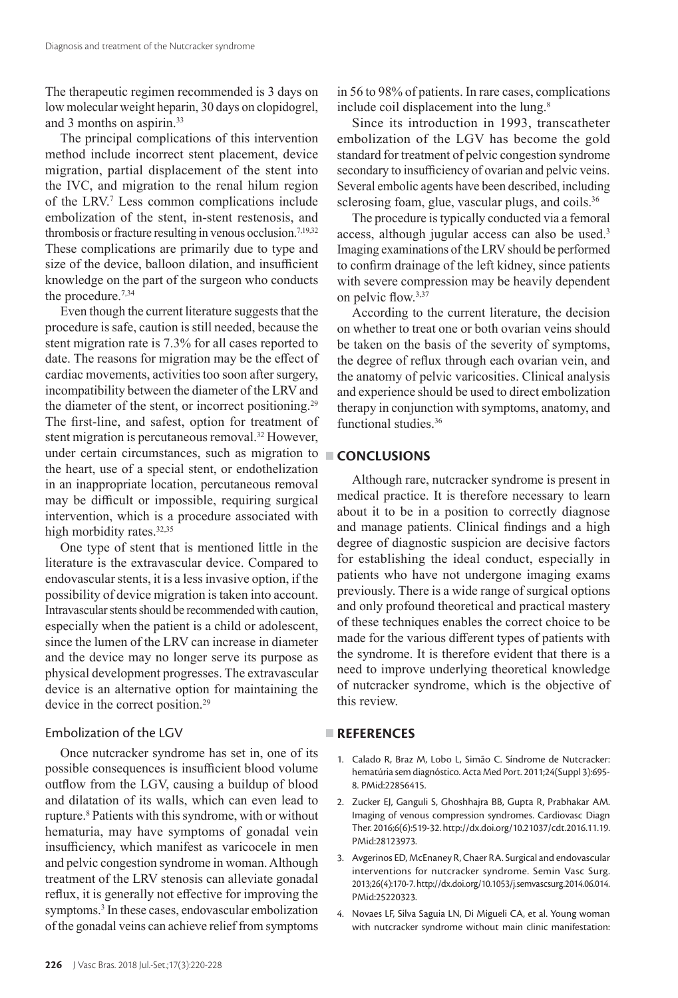The therapeutic regimen recommended is 3 days on low molecular weight heparin, 30 days on clopidogrel, and 3 months on aspirin.33

The principal complications of this intervention method include incorrect stent placement, device migration, partial displacement of the stent into the IVC, and migration to the renal hilum region of the LRV.7 Less common complications include embolization of the stent, in-stent restenosis, and thrombosis or fracture resulting in venous occlusion.<sup>7,19,32</sup> These complications are primarily due to type and size of the device, balloon dilation, and insufficient knowledge on the part of the surgeon who conducts the procedure.<sup>7,34</sup>

Even though the current literature suggests that the procedure is safe, caution is still needed, because the stent migration rate is 7.3% for all cases reported to date. The reasons for migration may be the effect of cardiac movements, activities too soon after surgery, incompatibility between the diameter of the LRV and the diameter of the stent, or incorrect positioning.<sup>29</sup> The first-line, and safest, option for treatment of stent migration is percutaneous removal.<sup>32</sup> However, under certain circumstances, such as migration to the heart, use of a special stent, or endothelization in an inappropriate location, percutaneous removal may be difficult or impossible, requiring surgical intervention, which is a procedure associated with high morbidity rates.<sup>32,35</sup>

One type of stent that is mentioned little in the literature is the extravascular device. Compared to endovascular stents, it is a less invasive option, if the possibility of device migration is taken into account. Intravascular stents should be recommended with caution, especially when the patient is a child or adolescent, since the lumen of the LRV can increase in diameter and the device may no longer serve its purpose as physical development progresses. The extravascular device is an alternative option for maintaining the device in the correct position.<sup>29</sup>

# Embolization of the LGV

Once nutcracker syndrome has set in, one of its possible consequences is insufficient blood volume outflow from the LGV, causing a buildup of blood and dilatation of its walls, which can even lead to rupture.<sup>8</sup> Patients with this syndrome, with or without hematuria, may have symptoms of gonadal vein insufficiency, which manifest as varicocele in men and pelvic congestion syndrome in woman. Although treatment of the LRV stenosis can alleviate gonadal reflux, it is generally not effective for improving the symptoms.<sup>3</sup> In these cases, endovascular embolization of the gonadal veins can achieve relief from symptoms

in 56 to 98% of patients. In rare cases, complications include coil displacement into the lung.<sup>8</sup>

Since its introduction in 1993, transcatheter embolization of the LGV has become the gold standard for treatment of pelvic congestion syndrome secondary to insufficiency of ovarian and pelvic veins. Several embolic agents have been described, including sclerosing foam, glue, vascular plugs, and coils.<sup>36</sup>

The procedure is typically conducted via a femoral access, although jugular access can also be used.3 Imaging examinations of the LRV should be performed to confirm drainage of the left kidney, since patients with severe compression may be heavily dependent on pelvic flow.3,37

According to the current literature, the decision on whether to treat one or both ovarian veins should be taken on the basis of the severity of symptoms, the degree of reflux through each ovarian vein, and the anatomy of pelvic varicosities. Clinical analysis and experience should be used to direct embolization therapy in conjunction with symptoms, anatomy, and functional studies.36

# **CONCLUSIONS**

Although rare, nutcracker syndrome is present in medical practice. It is therefore necessary to learn about it to be in a position to correctly diagnose and manage patients. Clinical findings and a high degree of diagnostic suspicion are decisive factors for establishing the ideal conduct, especially in patients who have not undergone imaging exams previously. There is a wide range of surgical options and only profound theoretical and practical mastery of these techniques enables the correct choice to be made for the various different types of patients with the syndrome. It is therefore evident that there is a need to improve underlying theoretical knowledge of nutcracker syndrome, which is the objective of this review.

#### **REFERENCES**

- 1. Calado R, Braz M, Lobo L, Simão C. Síndrome de Nutcracker: hematúria sem diagnóstico. Acta Med Port. 2011;24(Suppl 3):695- 8[. PMid:22856415.](https://www.ncbi.nlm.nih.gov/entrez/query.fcgi?cmd=Retrieve&db=PubMed&list_uids=22856415&dopt=Abstract)
- 2. Zucker EJ, Ganguli S, Ghoshhajra BB, Gupta R, Prabhakar AM. Imaging of venous compression syndromes. Cardiovasc Diagn Ther. 2016;6(6):519-32. [http://dx.doi.org/10.21037/cdt.2016.11.19.](https://doi.org/10.21037/cdt.2016.11.19) [PMid:28123973.](https://www.ncbi.nlm.nih.gov/entrez/query.fcgi?cmd=Retrieve&db=PubMed&list_uids=28123973&dopt=Abstract)
- 3. Avgerinos ED, McEnaney R, Chaer RA. Surgical and endovascular interventions for nutcracker syndrome. Semin Vasc Surg. 2013;26(4):170-7. [http://dx.doi.org/10.1053/j.semvascsurg.2014.06.014.](https://doi.org/10.1053/j.semvascsurg.2014.06.014) [PMid:25220323.](https://www.ncbi.nlm.nih.gov/entrez/query.fcgi?cmd=Retrieve&db=PubMed&list_uids=25220323&dopt=Abstract)
- 4. Novaes LF, Silva Saguia LN, Di Migueli CA, et al. Young woman with nutcracker syndrome without main clinic manifestation: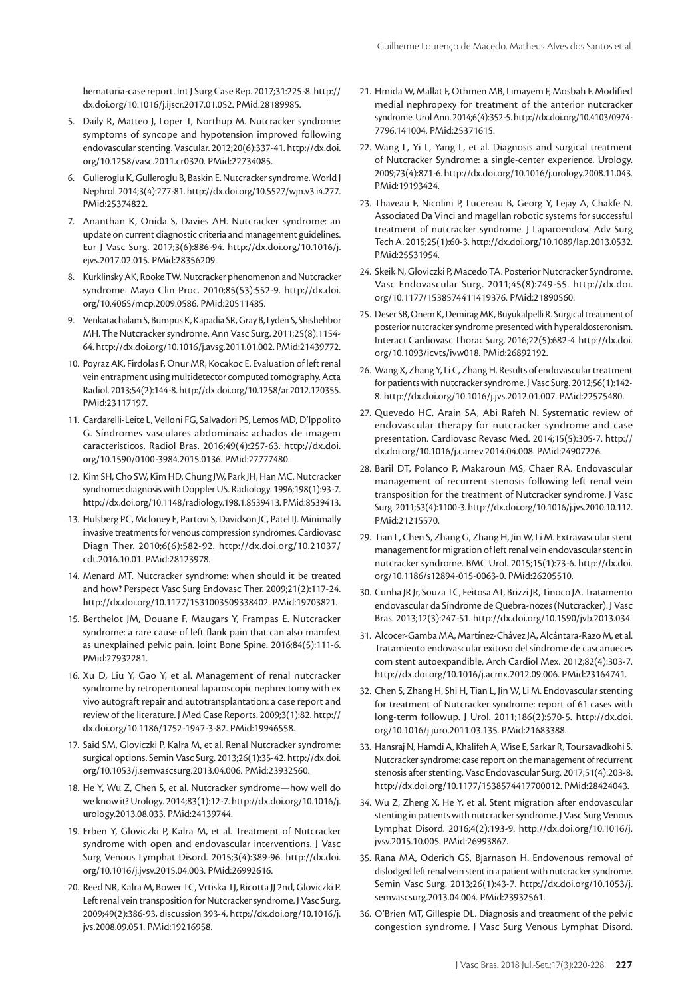hematuria-case report. Int J Surg Case Rep. 2017;31:225-8. [http://](https://doi.org/10.1016/j.ijscr.2017.01.052) [dx.doi.org/10.1016/j.ijscr.2017.01.052.](https://doi.org/10.1016/j.ijscr.2017.01.052) [PMid:28189985.](https://www.ncbi.nlm.nih.gov/entrez/query.fcgi?cmd=Retrieve&db=PubMed&list_uids=28189985&dopt=Abstract)

- 5. Daily R, Matteo J, Loper T, Northup M. Nutcracker syndrome: symptoms of syncope and hypotension improved following endovascular stenting. Vascular. 2012;20(6):337-41. [http://dx.doi.](https://doi.org/10.1258/vasc.2011.cr0320) [org/10.1258/vasc.2011.cr0320](https://doi.org/10.1258/vasc.2011.cr0320). [PMid:22734085.](https://www.ncbi.nlm.nih.gov/entrez/query.fcgi?cmd=Retrieve&db=PubMed&list_uids=22734085&dopt=Abstract)
- 6. Gulleroglu K, Gulleroglu B, Baskin E. Nutcracker syndrome. World J Nephrol. 2014;3(4):277-81. [http://dx.doi.org/10.5527/wjn.v3.i4.277](https://doi.org/10.5527/wjn.v3.i4.277). [PMid:25374822.](https://www.ncbi.nlm.nih.gov/entrez/query.fcgi?cmd=Retrieve&db=PubMed&list_uids=25374822&dopt=Abstract)
- 7. Ananthan K, Onida S, Davies AH. Nutcracker syndrome: an update on current diagnostic criteria and management guidelines. Eur J Vasc Surg. 2017;3(6):886-94. [http://dx.doi.org/10.1016/j.](https://doi.org/10.1016/j.ejvs.2017.02.015) [ejvs.2017.02.015](https://doi.org/10.1016/j.ejvs.2017.02.015). [PMid:28356209.](https://www.ncbi.nlm.nih.gov/entrez/query.fcgi?cmd=Retrieve&db=PubMed&list_uids=28356209&dopt=Abstract)
- 8. Kurklinsky AK, Rooke TW. Nutcracker phenomenon and Nutcracker syndrome. Mayo Clin Proc. 2010;85(53):552-9. [http://dx.doi.](https://doi.org/10.4065/mcp.2009.0586) [org/10.4065/mcp.2009.0586](https://doi.org/10.4065/mcp.2009.0586)[. PMid:20511485.](https://www.ncbi.nlm.nih.gov/entrez/query.fcgi?cmd=Retrieve&db=PubMed&list_uids=20511485&dopt=Abstract)
- 9. Venkatachalam S, Bumpus K, Kapadia SR, Gray B, Lyden S, Shishehbor MH. The Nutcracker syndrome. Ann Vasc Surg. 2011;25(8):1154- 64. [http://dx.doi.org/10.1016/j.avsg.2011.01.002](https://doi.org/10.1016/j.avsg.2011.01.002). [PMid:21439772.](https://www.ncbi.nlm.nih.gov/entrez/query.fcgi?cmd=Retrieve&db=PubMed&list_uids=21439772&dopt=Abstract)
- 10. Poyraz AK, Firdolas F, Onur MR, Kocakoc E. Evaluation of left renal vein entrapment using multidetector computed tomography. Acta Radiol. 2013;54(2):144-8. [http://dx.doi.org/10.1258/ar.2012.120355](https://doi.org/10.1258/ar.2012.120355). [PMid:23117197.](https://www.ncbi.nlm.nih.gov/entrez/query.fcgi?cmd=Retrieve&db=PubMed&list_uids=23117197&dopt=Abstract)
- 11. Cardarelli-Leite L, Velloni FG, Salvadori PS, Lemos MD, D'Ippolito G. Síndromes vasculares abdominais: achados de imagem característicos. Radiol Bras. 2016;49(4):257-63. [http://dx.doi.](https://doi.org/10.1590/0100-3984.2015.0136) [org/10.1590/0100-3984.2015.0136](https://doi.org/10.1590/0100-3984.2015.0136). [PMid:27777480.](https://www.ncbi.nlm.nih.gov/entrez/query.fcgi?cmd=Retrieve&db=PubMed&list_uids=27777480&dopt=Abstract)
- 12. Kim SH, Cho SW, Kim HD, Chung JW, Park JH, Han MC. Nutcracker syndrome: diagnosis with Doppler US. Radiology. 1996;198(1):93-7. [http://dx.doi.org/10.1148/radiology.198.1.8539413](https://doi.org/10.1148/radiology.198.1.8539413). [PMid:8539413.](https://www.ncbi.nlm.nih.gov/entrez/query.fcgi?cmd=Retrieve&db=PubMed&list_uids=8539413&dopt=Abstract)
- 13. Hulsberg PC, Mcloney E, Partovi S, Davidson JC, Patel IJ. Minimally invasive treatments for venous compression syndromes. Cardiovasc Diagn Ther. 2010;6(6):582-92. [http://dx.doi.org/10.21037/](https://doi.org/10.21037/cdt.2016.10.01) [cdt.2016.10.01](https://doi.org/10.21037/cdt.2016.10.01). [PMid:28123978.](https://www.ncbi.nlm.nih.gov/entrez/query.fcgi?cmd=Retrieve&db=PubMed&list_uids=28123978&dopt=Abstract)
- 14. Menard MT. Nutcracker syndrome: when should it be treated and how? Perspect Vasc Surg Endovasc Ther. 2009;21(2):117-24. [http://dx.doi.org/10.1177/1531003509338402](https://doi.org/10.1177/1531003509338402)[. PMid:19703821.](https://www.ncbi.nlm.nih.gov/entrez/query.fcgi?cmd=Retrieve&db=PubMed&list_uids=19703821&dopt=Abstract)
- 15. Berthelot JM, Douane F, Maugars Y, Frampas E. Nutcracker syndrome: a rare cause of left flank pain that can also manifest as unexplained pelvic pain. Joint Bone Spine. 2016;84(5):111-6. [PMid:27932281.](https://www.ncbi.nlm.nih.gov/entrez/query.fcgi?cmd=Retrieve&db=PubMed&list_uids=27932281&dopt=Abstract)
- 16. Xu D, Liu Y, Gao Y, et al. Management of renal nutcracker syndrome by retroperitoneal laparoscopic nephrectomy with ex vivo autograft repair and autotransplantation: a case report and review of the literature. J Med Case Reports. 2009;3(1):82. [http://](https://doi.org/10.1186/1752-1947-3-82) [dx.doi.org/10.1186/1752-1947-3-82](https://doi.org/10.1186/1752-1947-3-82). [PMid:19946558.](https://www.ncbi.nlm.nih.gov/entrez/query.fcgi?cmd=Retrieve&db=PubMed&list_uids=19946558&dopt=Abstract)
- 17. Said SM, Gloviczki P, Kalra M, et al. Renal Nutcracker syndrome: surgical options. Semin Vasc Surg. 2013;26(1):35-42. [http://dx.doi.](https://doi.org/10.1053/j.semvascsurg.2013.04.006) [org/10.1053/j.semvascsurg.2013.04.006](https://doi.org/10.1053/j.semvascsurg.2013.04.006). [PMid:23932560.](https://www.ncbi.nlm.nih.gov/entrez/query.fcgi?cmd=Retrieve&db=PubMed&list_uids=23932560&dopt=Abstract)
- 18. He Y, Wu Z, Chen S, et al. Nutcracker syndrome—how well do we know it? Urology. 2014;83(1):12-7. [http://dx.doi.org/10.1016/j.](https://doi.org/10.1016/j.urology.2013.08.033) [urology.2013.08.033](https://doi.org/10.1016/j.urology.2013.08.033). [PMid:24139744.](https://www.ncbi.nlm.nih.gov/entrez/query.fcgi?cmd=Retrieve&db=PubMed&list_uids=24139744&dopt=Abstract)
- 19. Erben Y, Gloviczki P, Kalra M, et al. Treatment of Nutcracker syndrome with open and endovascular interventions. J Vasc Surg Venous Lymphat Disord. 2015;3(4):389-96. [http://dx.doi.](https://doi.org/10.1016/j.jvsv.2015.04.003) [org/10.1016/j.jvsv.2015.04.003](https://doi.org/10.1016/j.jvsv.2015.04.003). [PMid:26992616.](https://www.ncbi.nlm.nih.gov/entrez/query.fcgi?cmd=Retrieve&db=PubMed&list_uids=26992616&dopt=Abstract)
- 20. Reed NR, Kalra M, Bower TC, Vrtiska TJ, Ricotta JJ 2nd, Gloviczki P. Left renal vein transposition for Nutcracker syndrome. J Vasc Surg. 2009;49(2):386-93, discussion 393-4. [http://dx.doi.org/10.1016/j.](https://doi.org/10.1016/j.jvs.2008.09.051) [jvs.2008.09.051](https://doi.org/10.1016/j.jvs.2008.09.051)[. PMid:19216958.](https://www.ncbi.nlm.nih.gov/entrez/query.fcgi?cmd=Retrieve&db=PubMed&list_uids=19216958&dopt=Abstract)
- 21. Hmida W, Mallat F, Othmen MB, Limayem F, Mosbah F. Modified medial nephropexy for treatment of the anterior nutcracker syndrome. Urol Ann. 2014;6(4):352-5. [http://dx.doi.org/10.4103/0974-](https://doi.org/10.4103/0974-7796.141004) [7796.141004](https://doi.org/10.4103/0974-7796.141004). [PMid:25371615.](https://www.ncbi.nlm.nih.gov/entrez/query.fcgi?cmd=Retrieve&db=PubMed&list_uids=25371615&dopt=Abstract)
- 22. Wang L, Yi L, Yang L, et al. Diagnosis and surgical treatment of Nutcracker Syndrome: a single-center experience. Urology. 2009;73(4):871-6. [http://dx.doi.org/10.1016/j.urology.2008.11.043.](https://doi.org/10.1016/j.urology.2008.11.043) [PMid:19193424.](https://www.ncbi.nlm.nih.gov/entrez/query.fcgi?cmd=Retrieve&db=PubMed&list_uids=19193424&dopt=Abstract)
- 23. Thaveau F, Nicolini P, Lucereau B, Georg Y, Lejay A, Chakfe N. Associated Da Vinci and magellan robotic systems for successful treatment of nutcracker syndrome. J Laparoendosc Adv Surg Tech A. 2015;25(1):60-3. [http://dx.doi.org/10.1089/lap.2013.0532.](https://doi.org/10.1089/lap.2013.0532) [PMid:25531954.](https://www.ncbi.nlm.nih.gov/entrez/query.fcgi?cmd=Retrieve&db=PubMed&list_uids=25531954&dopt=Abstract)
- 24. Skeik N, Gloviczki P, Macedo TA. Posterior Nutcracker Syndrome. Vasc Endovascular Surg. 2011;45(8):749-55. [http://dx.doi.](https://doi.org/10.1177/1538574411419376) [org/10.1177/1538574411419376.](https://doi.org/10.1177/1538574411419376) [PMid:21890560.](https://www.ncbi.nlm.nih.gov/entrez/query.fcgi?cmd=Retrieve&db=PubMed&list_uids=21890560&dopt=Abstract)
- 25. Deser SB, Onem K, Demirag MK, Buyukalpelli R. Surgical treatment of posterior nutcracker syndrome presented with hyperaldosteronism. Interact Cardiovasc Thorac Surg. 2016;22(5):682-4. [http://dx.doi.](https://doi.org/10.1093/icvts/ivw018) [org/10.1093/icvts/ivw018](https://doi.org/10.1093/icvts/ivw018). [PMid:26892192.](https://www.ncbi.nlm.nih.gov/entrez/query.fcgi?cmd=Retrieve&db=PubMed&list_uids=26892192&dopt=Abstract)
- 26. Wang X, Zhang Y, Li C, Zhang H. Results of endovascular treatment for patients with nutcracker syndrome. J Vasc Surg. 2012;56(1):142- 8. [http://dx.doi.org/10.1016/j.jvs.2012.01.007](https://doi.org/10.1016/j.jvs.2012.01.007)[. PMid:22575480.](https://www.ncbi.nlm.nih.gov/entrez/query.fcgi?cmd=Retrieve&db=PubMed&list_uids=22575480&dopt=Abstract)
- 27. Quevedo HC, Arain SA, Abi Rafeh N. Systematic review of endovascular therapy for nutcracker syndrome and case presentation. Cardiovasc Revasc Med. 2014;15(5):305-7. [http://](https://doi.org/10.1016/j.carrev.2014.04.008) [dx.doi.org/10.1016/j.carrev.2014.04.008](https://doi.org/10.1016/j.carrev.2014.04.008). [PMid:24907226.](https://www.ncbi.nlm.nih.gov/entrez/query.fcgi?cmd=Retrieve&db=PubMed&list_uids=24907226&dopt=Abstract)
- 28. Baril DT, Polanco P, Makaroun MS, Chaer RA. Endovascular management of recurrent stenosis following left renal vein transposition for the treatment of Nutcracker syndrome. J Vasc Surg. 2011;53(4):1100-3. [http://dx.doi.org/10.1016/j.jvs.2010.10.112.](https://doi.org/10.1016/j.jvs.2010.10.112) [PMid:21215570.](https://www.ncbi.nlm.nih.gov/entrez/query.fcgi?cmd=Retrieve&db=PubMed&list_uids=21215570&dopt=Abstract)
- 29. Tian L, Chen S, Zhang G, Zhang H, Jin W, Li M. Extravascular stent management for migration of left renal vein endovascular stent in nutcracker syndrome. BMC Urol. 2015;15(1):73-6. [http://dx.doi.](https://doi.org/10.1186/s12894-015-0063-0) [org/10.1186/s12894-015-0063-0.](https://doi.org/10.1186/s12894-015-0063-0) [PMid:26205510.](https://www.ncbi.nlm.nih.gov/entrez/query.fcgi?cmd=Retrieve&db=PubMed&list_uids=26205510&dopt=Abstract)
- 30. Cunha JR Jr, Souza TC, Feitosa AT, Brizzi JR, Tinoco JA. Tratamento endovascular da Síndrome de Quebra-nozes (Nutcracker). J Vasc Bras. 2013;12(3):247-51. [http://dx.doi.org/10.1590/jvb.2013.034](https://doi.org/10.1590/jvb.2013.034).
- 31. Alcocer-Gamba MA, Martínez-Chávez JA, Alcántara-Razo M, et al. Tratamiento endovascular exitoso del síndrome de cascanueces com stent autoexpandible. Arch Cardiol Mex. 2012;82(4):303-7. [http://dx.doi.org/10.1016/j.acmx.2012.09.006](https://doi.org/10.1016/j.acmx.2012.09.006)[. PMid:23164741.](https://www.ncbi.nlm.nih.gov/entrez/query.fcgi?cmd=Retrieve&db=PubMed&list_uids=23164741&dopt=Abstract)
- 32. Chen S, Zhang H, Shi H, Tian L, Jin W, Li M. Endovascular stenting for treatment of Nutcracker syndrome: report of 61 cases with long-term followup. J Urol. 2011;186(2):570-5. [http://dx.doi.](https://doi.org/10.1016/j.juro.2011.03.135) [org/10.1016/j.juro.2011.03.135](https://doi.org/10.1016/j.juro.2011.03.135). [PMid:21683388.](https://www.ncbi.nlm.nih.gov/entrez/query.fcgi?cmd=Retrieve&db=PubMed&list_uids=21683388&dopt=Abstract)
- 33. Hansraj N, Hamdi A, Khalifeh A, Wise E, Sarkar R, Toursavadkohi S. Nutcracker syndrome: case report on the management of recurrent stenosis after stenting. Vasc Endovascular Surg. 2017;51(4):203-8. [http://dx.doi.org/10.1177/1538574417700012.](https://doi.org/10.1177/1538574417700012) [PMid:28424043.](https://www.ncbi.nlm.nih.gov/entrez/query.fcgi?cmd=Retrieve&db=PubMed&list_uids=28424043&dopt=Abstract)
- 34. Wu Z, Zheng X, He Y, et al. Stent migration after endovascular stenting in patients with nutcracker syndrome. J Vasc Surg Venous Lymphat Disord. 2016;4(2):193-9. [http://dx.doi.org/10.1016/j.](https://doi.org/10.1016/j.jvsv.2015.10.005) [jvsv.2015.10.005.](https://doi.org/10.1016/j.jvsv.2015.10.005) [PMid:26993867.](https://www.ncbi.nlm.nih.gov/entrez/query.fcgi?cmd=Retrieve&db=PubMed&list_uids=26993867&dopt=Abstract)
- 35. Rana MA, Oderich GS, Bjarnason H. Endovenous removal of dislodged left renal vein stent in a patient with nutcracker syndrome. Semin Vasc Surg. 2013;26(1):43-7. [http://dx.doi.org/10.1053/j.](https://doi.org/10.1053/j.semvascsurg.2013.04.004) [semvascsurg.2013.04.004](https://doi.org/10.1053/j.semvascsurg.2013.04.004). [PMid:23932561.](https://www.ncbi.nlm.nih.gov/entrez/query.fcgi?cmd=Retrieve&db=PubMed&list_uids=23932561&dopt=Abstract)
- 36. O'Brien MT, Gillespie DL. Diagnosis and treatment of the pelvic congestion syndrome. J Vasc Surg Venous Lymphat Disord.